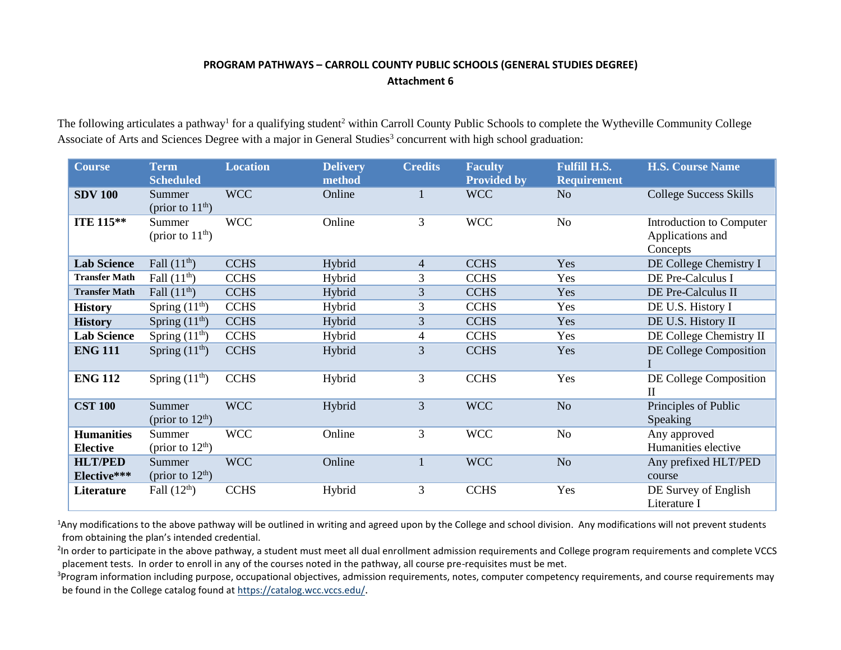## **PROGRAM PATHWAYS – CARROLL COUNTY PUBLIC SCHOOLS (GENERAL STUDIES DEGREE) Attachment 6**

The following articulates a pathway<sup>1</sup> for a qualifying student<sup>2</sup> within Carroll County Public Schools to complete the Wytheville Community College Associate of Arts and Sciences Degree with a major in General Studies<sup>3</sup> concurrent with high school graduation:

| <b>Course</b>                        | <b>Term</b><br><b>Scheduled</b> | <b>Location</b> | <b>Delivery</b><br>method | <b>Credits</b> | <b>Faculty</b><br><b>Provided by</b> | <b>Fulfill H.S.</b><br><b>Requirement</b> | <b>H.S. Course Name</b>                                  |
|--------------------------------------|---------------------------------|-----------------|---------------------------|----------------|--------------------------------------|-------------------------------------------|----------------------------------------------------------|
| <b>SDV 100</b>                       | Summer<br>(prior to $11th$ )    | <b>WCC</b>      | Online                    |                | <b>WCC</b>                           | N <sub>o</sub>                            | <b>College Success Skills</b>                            |
| <b>ITE 115**</b>                     | Summer<br>(prior to $11th$ )    | <b>WCC</b>      | Online                    | 3              | <b>WCC</b>                           | No                                        | Introduction to Computer<br>Applications and<br>Concepts |
| <b>Lab Science</b>                   | Fall $(11th)$                   | <b>CCHS</b>     | Hybrid                    | $\overline{4}$ | <b>CCHS</b>                          | Yes                                       | DE College Chemistry I                                   |
| <b>Transfer Math</b>                 | Fall $(11th)$                   | <b>CCHS</b>     | Hybrid                    | 3              | <b>CCHS</b>                          | Yes                                       | DE Pre-Calculus I                                        |
| <b>Transfer Math</b>                 | Fall $(11^{\text{th}})$         | <b>CCHS</b>     | Hybrid                    | 3              | <b>CCHS</b>                          | Yes                                       | DE Pre-Calculus II                                       |
| <b>History</b>                       | Spring $(11th)$                 | <b>CCHS</b>     | Hybrid                    | 3              | <b>CCHS</b>                          | Yes                                       | DE U.S. History I                                        |
| <b>History</b>                       | Spring $(11th)$                 | <b>CCHS</b>     | Hybrid                    | 3              | <b>CCHS</b>                          | Yes                                       | DE U.S. History II                                       |
| <b>Lab Science</b>                   | Spring $(11th)$                 | <b>CCHS</b>     | Hybrid                    | 4              | <b>CCHS</b>                          | Yes                                       | DE College Chemistry II                                  |
| <b>ENG 111</b>                       | Spring $(11th)$                 | <b>CCHS</b>     | Hybrid                    | 3              | <b>CCHS</b>                          | Yes                                       | DE College Composition                                   |
| <b>ENG 112</b>                       | Spring $(11th)$                 | <b>CCHS</b>     | Hybrid                    | 3              | <b>CCHS</b>                          | Yes                                       | DE College Composition<br>$\mathbf{I}$                   |
| <b>CST 100</b>                       | Summer<br>(prior to $12th$ )    | <b>WCC</b>      | Hybrid                    | 3              | <b>WCC</b>                           | N <sub>o</sub>                            | Principles of Public<br>Speaking                         |
| <b>Humanities</b><br><b>Elective</b> | Summer<br>(prior to $12th$ )    | <b>WCC</b>      | Online                    | 3              | <b>WCC</b>                           | No                                        | Any approved<br>Humanities elective                      |
| <b>HLT/PED</b><br>Elective***        | Summer<br>(prior to $12th$ )    | <b>WCC</b>      | Online                    |                | <b>WCC</b>                           | N <sub>o</sub>                            | Any prefixed HLT/PED<br>course                           |
| Literature                           | Fall $(12th)$                   | <b>CCHS</b>     | Hybrid                    | 3              | <b>CCHS</b>                          | Yes                                       | DE Survey of English<br>Literature I                     |

<sup>1</sup>Any modifications to the above pathway will be outlined in writing and agreed upon by the College and school division. Any modifications will not prevent students from obtaining the plan's intended credential.

<sup>2</sup>In order to participate in the above pathway, a student must meet all dual enrollment admission requirements and College program requirements and complete VCCS placement tests. In order to enroll in any of the courses noted in the pathway, all course pre-requisites must be met.

<sup>3</sup>Program information including purpose, occupational objectives, admission requirements, notes, computer competency requirements, and course requirements may be found in the College catalog found a[t https://catalog.wcc.vccs.edu/](https://catalog.wcc.vccs.edu/).